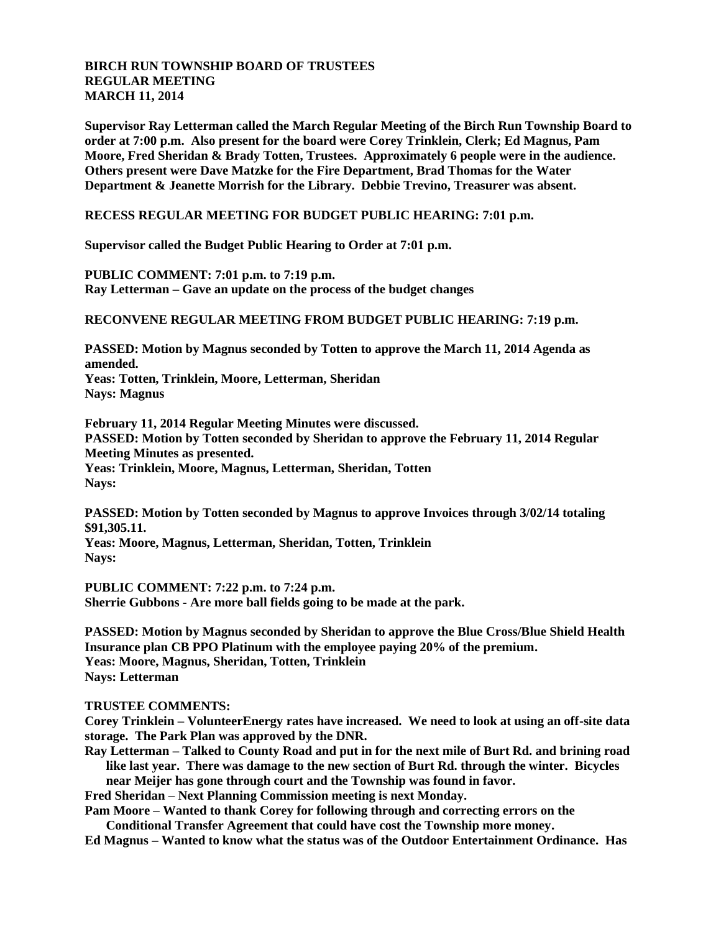## **BIRCH RUN TOWNSHIP BOARD OF TRUSTEES REGULAR MEETING MARCH 11, 2014**

**Supervisor Ray Letterman called the March Regular Meeting of the Birch Run Township Board to order at 7:00 p.m. Also present for the board were Corey Trinklein, Clerk; Ed Magnus, Pam Moore, Fred Sheridan & Brady Totten, Trustees. Approximately 6 people were in the audience. Others present were Dave Matzke for the Fire Department, Brad Thomas for the Water Department & Jeanette Morrish for the Library. Debbie Trevino, Treasurer was absent.**

**RECESS REGULAR MEETING FOR BUDGET PUBLIC HEARING: 7:01 p.m.**

**Supervisor called the Budget Public Hearing to Order at 7:01 p.m.**

**PUBLIC COMMENT: 7:01 p.m. to 7:19 p.m. Ray Letterman – Gave an update on the process of the budget changes**

## **RECONVENE REGULAR MEETING FROM BUDGET PUBLIC HEARING: 7:19 p.m.**

**PASSED: Motion by Magnus seconded by Totten to approve the March 11, 2014 Agenda as amended. Yeas: Totten, Trinklein, Moore, Letterman, Sheridan Nays: Magnus**

**February 11, 2014 Regular Meeting Minutes were discussed. PASSED: Motion by Totten seconded by Sheridan to approve the February 11, 2014 Regular Meeting Minutes as presented. Yeas: Trinklein, Moore, Magnus, Letterman, Sheridan, Totten Nays:** 

**PASSED: Motion by Totten seconded by Magnus to approve Invoices through 3/02/14 totaling \$91,305.11.**

**Yeas: Moore, Magnus, Letterman, Sheridan, Totten, Trinklein Nays:**

**PUBLIC COMMENT: 7:22 p.m. to 7:24 p.m. Sherrie Gubbons - Are more ball fields going to be made at the park.**

**PASSED: Motion by Magnus seconded by Sheridan to approve the Blue Cross/Blue Shield Health Insurance plan CB PPO Platinum with the employee paying 20% of the premium. Yeas: Moore, Magnus, Sheridan, Totten, Trinklein Nays: Letterman**

## **TRUSTEE COMMENTS:**

**Corey Trinklein – VolunteerEnergy rates have increased. We need to look at using an off-site data storage. The Park Plan was approved by the DNR.**

**Ray Letterman – Talked to County Road and put in for the next mile of Burt Rd. and brining road like last year. There was damage to the new section of Burt Rd. through the winter. Bicycles** 

**near Meijer has gone through court and the Township was found in favor.**

**Fred Sheridan – Next Planning Commission meeting is next Monday.**

**Pam Moore – Wanted to thank Corey for following through and correcting errors on the Conditional Transfer Agreement that could have cost the Township more money.**

**Ed Magnus – Wanted to know what the status was of the Outdoor Entertainment Ordinance. Has**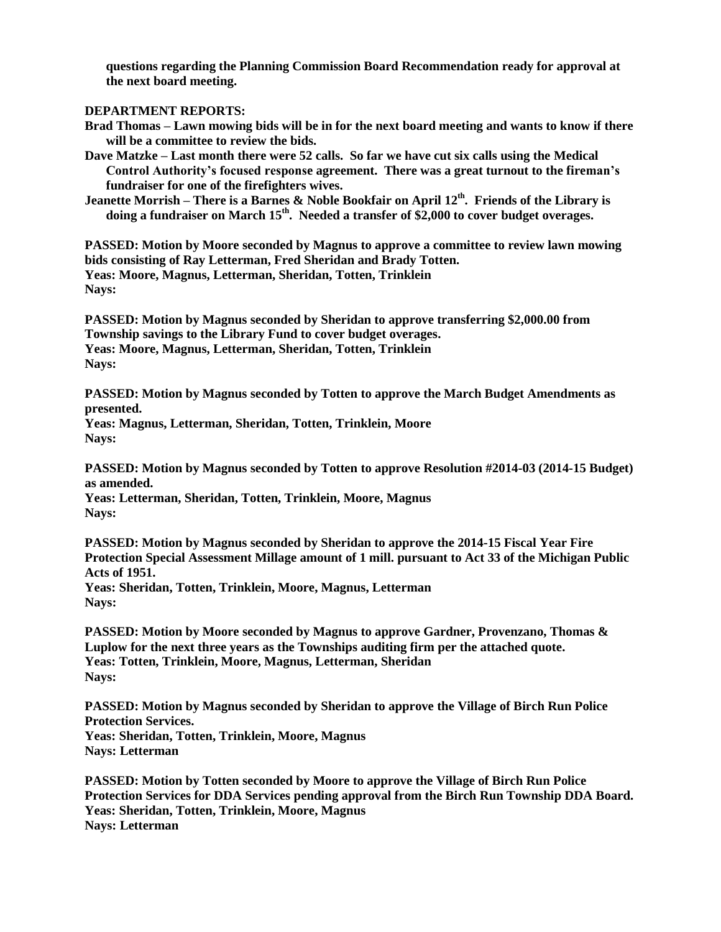**questions regarding the Planning Commission Board Recommendation ready for approval at the next board meeting.**

## **DEPARTMENT REPORTS:**

- **Brad Thomas – Lawn mowing bids will be in for the next board meeting and wants to know if there will be a committee to review the bids.**
- **Dave Matzke – Last month there were 52 calls. So far we have cut six calls using the Medical Control Authority's focused response agreement. There was a great turnout to the fireman's fundraiser for one of the firefighters wives.**
- **Jeanette Morrish – There is a Barnes & Noble Bookfair on April 12th . Friends of the Library is doing a fundraiser on March 15th . Needed a transfer of \$2,000 to cover budget overages.**

**PASSED: Motion by Moore seconded by Magnus to approve a committee to review lawn mowing bids consisting of Ray Letterman, Fred Sheridan and Brady Totten. Yeas: Moore, Magnus, Letterman, Sheridan, Totten, Trinklein Nays:**

**PASSED: Motion by Magnus seconded by Sheridan to approve transferring \$2,000.00 from Township savings to the Library Fund to cover budget overages. Yeas: Moore, Magnus, Letterman, Sheridan, Totten, Trinklein Nays:**

**PASSED: Motion by Magnus seconded by Totten to approve the March Budget Amendments as presented.**

**Yeas: Magnus, Letterman, Sheridan, Totten, Trinklein, Moore Nays:**

**PASSED: Motion by Magnus seconded by Totten to approve Resolution #2014-03 (2014-15 Budget) as amended.**

**Yeas: Letterman, Sheridan, Totten, Trinklein, Moore, Magnus Nays:**

**PASSED: Motion by Magnus seconded by Sheridan to approve the 2014-15 Fiscal Year Fire Protection Special Assessment Millage amount of 1 mill. pursuant to Act 33 of the Michigan Public Acts of 1951.**

**Yeas: Sheridan, Totten, Trinklein, Moore, Magnus, Letterman Nays:**

**PASSED: Motion by Moore seconded by Magnus to approve Gardner, Provenzano, Thomas & Luplow for the next three years as the Townships auditing firm per the attached quote. Yeas: Totten, Trinklein, Moore, Magnus, Letterman, Sheridan Nays:**

**PASSED: Motion by Magnus seconded by Sheridan to approve the Village of Birch Run Police Protection Services. Yeas: Sheridan, Totten, Trinklein, Moore, Magnus Nays: Letterman**

**PASSED: Motion by Totten seconded by Moore to approve the Village of Birch Run Police Protection Services for DDA Services pending approval from the Birch Run Township DDA Board. Yeas: Sheridan, Totten, Trinklein, Moore, Magnus Nays: Letterman**